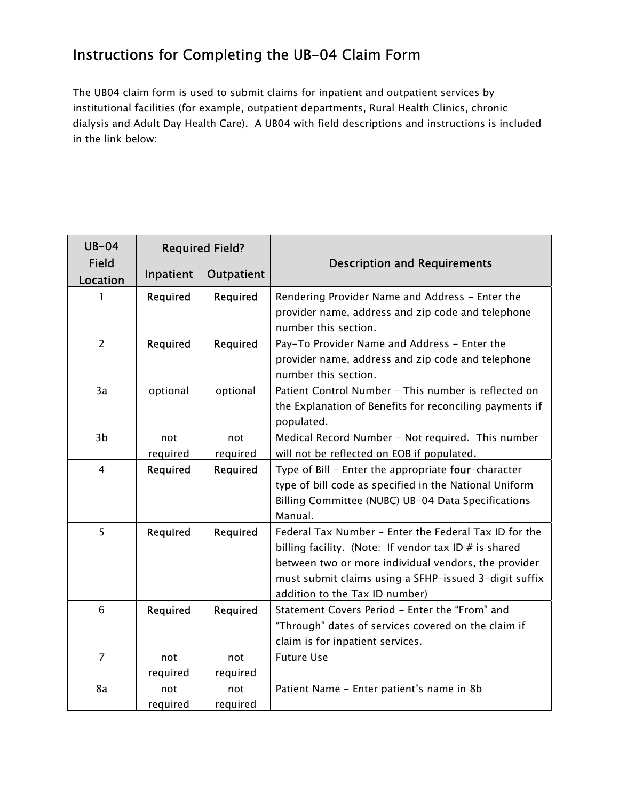## Instructions for Completing the UB-04 Claim Form

The UB04 claim form is used to submit claims for inpatient and outpatient services by institutional facilities (for example, outpatient departments, Rural Health Clinics, chronic dialysis and Adult Day Health Care). A UB04 with field descriptions and instructions is included in the link below:

| $UB-04$<br><b>Field</b><br>Location | <b>Required Field?</b> |                 |                                                                                                                                                                                                                                                                     |
|-------------------------------------|------------------------|-----------------|---------------------------------------------------------------------------------------------------------------------------------------------------------------------------------------------------------------------------------------------------------------------|
|                                     | Inpatient              | Outpatient      | <b>Description and Requirements</b>                                                                                                                                                                                                                                 |
|                                     | Required               | Required        | Rendering Provider Name and Address - Enter the<br>provider name, address and zip code and telephone<br>number this section.                                                                                                                                        |
| $\overline{2}$                      | Required               | Required        | Pay-To Provider Name and Address - Enter the<br>provider name, address and zip code and telephone<br>number this section.                                                                                                                                           |
| 3a                                  | optional               | optional        | Patient Control Number - This number is reflected on<br>the Explanation of Benefits for reconciling payments if<br>populated.                                                                                                                                       |
| 3 <sub>b</sub>                      | not                    | not             | Medical Record Number - Not required. This number                                                                                                                                                                                                                   |
|                                     | required               | required        | will not be reflected on EOB if populated.                                                                                                                                                                                                                          |
| $\overline{4}$                      | Required               | Required        | Type of Bill - Enter the appropriate four-character<br>type of bill code as specified in the National Uniform<br>Billing Committee (NUBC) UB-04 Data Specifications<br>Manual.                                                                                      |
| 5                                   | Required               | Required        | Federal Tax Number - Enter the Federal Tax ID for the<br>billing facility. (Note: If vendor tax ID $#$ is shared<br>between two or more individual vendors, the provider<br>must submit claims using a SFHP-issued 3-digit suffix<br>addition to the Tax ID number) |
| 6                                   | Required               | Required        | Statement Covers Period - Enter the "From" and<br>"Through" dates of services covered on the claim if<br>claim is for inpatient services.                                                                                                                           |
| $\overline{7}$                      | not                    | not             | <b>Future Use</b>                                                                                                                                                                                                                                                   |
|                                     | required               | required        |                                                                                                                                                                                                                                                                     |
| 8a                                  | not<br>required        | not<br>required | Patient Name - Enter patient's name in 8b                                                                                                                                                                                                                           |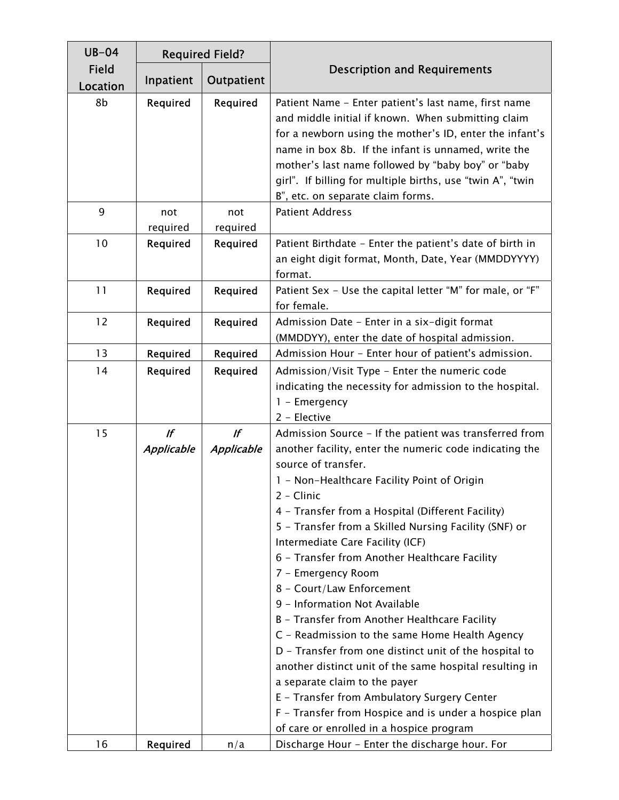| $UB-04$           |                  | <b>Required Field?</b> |                                                                                                                                                                                                                                                                                                                                                                                                                                                                                                                                                                                                                                                                                                                                                                                                                                                                                                           |
|-------------------|------------------|------------------------|-----------------------------------------------------------------------------------------------------------------------------------------------------------------------------------------------------------------------------------------------------------------------------------------------------------------------------------------------------------------------------------------------------------------------------------------------------------------------------------------------------------------------------------------------------------------------------------------------------------------------------------------------------------------------------------------------------------------------------------------------------------------------------------------------------------------------------------------------------------------------------------------------------------|
| Field<br>Location | Inpatient        | Outpatient             | <b>Description and Requirements</b>                                                                                                                                                                                                                                                                                                                                                                                                                                                                                                                                                                                                                                                                                                                                                                                                                                                                       |
| 8b                | Required         | Required               | Patient Name - Enter patient's last name, first name<br>and middle initial if known. When submitting claim<br>for a newborn using the mother's ID, enter the infant's<br>name in box 8b. If the infant is unnamed, write the<br>mother's last name followed by "baby boy" or "baby<br>girl". If billing for multiple births, use "twin A", "twin<br>B", etc. on separate claim forms.                                                                                                                                                                                                                                                                                                                                                                                                                                                                                                                     |
| 9                 | not<br>required  | not<br>required        | <b>Patient Address</b>                                                                                                                                                                                                                                                                                                                                                                                                                                                                                                                                                                                                                                                                                                                                                                                                                                                                                    |
| 10                | Required         | Required               | Patient Birthdate - Enter the patient's date of birth in<br>an eight digit format, Month, Date, Year (MMDDYYYY)<br>format.                                                                                                                                                                                                                                                                                                                                                                                                                                                                                                                                                                                                                                                                                                                                                                                |
| 11                | Required         | Required               | Patient Sex - Use the capital letter "M" for male, or "F"<br>for female.                                                                                                                                                                                                                                                                                                                                                                                                                                                                                                                                                                                                                                                                                                                                                                                                                                  |
| 12                | Required         | Required               | Admission Date - Enter in a six-digit format<br>(MMDDYY), enter the date of hospital admission.                                                                                                                                                                                                                                                                                                                                                                                                                                                                                                                                                                                                                                                                                                                                                                                                           |
| 13                | Required         | Required               | Admission Hour - Enter hour of patient's admission.                                                                                                                                                                                                                                                                                                                                                                                                                                                                                                                                                                                                                                                                                                                                                                                                                                                       |
| 14                | <b>Required</b>  | <b>Required</b>        | Admission/Visit Type - Enter the numeric code<br>indicating the necessity for admission to the hospital.<br>1 - Emergency<br>2 - Elective                                                                                                                                                                                                                                                                                                                                                                                                                                                                                                                                                                                                                                                                                                                                                                 |
| 15                | lf<br>Applicable | If<br>Applicable       | Admission Source - If the patient was transferred from<br>another facility, enter the numeric code indicating the<br>source of transfer.<br>1 - Non-Healthcare Facility Point of Origin<br>2 - Clinic<br>4 - Transfer from a Hospital (Different Facility)<br>5 - Transfer from a Skilled Nursing Facility (SNF) or<br>Intermediate Care Facility (ICF)<br>6 - Transfer from Another Healthcare Facility<br>7 - Emergency Room<br>8 - Court/Law Enforcement<br>9 - Information Not Available<br>B - Transfer from Another Healthcare Facility<br>C - Readmission to the same Home Health Agency<br>D - Transfer from one distinct unit of the hospital to<br>another distinct unit of the same hospital resulting in<br>a separate claim to the payer<br>E - Transfer from Ambulatory Surgery Center<br>F - Transfer from Hospice and is under a hospice plan<br>of care or enrolled in a hospice program |
| 16                | Required         | n/a                    | Discharge Hour - Enter the discharge hour. For                                                                                                                                                                                                                                                                                                                                                                                                                                                                                                                                                                                                                                                                                                                                                                                                                                                            |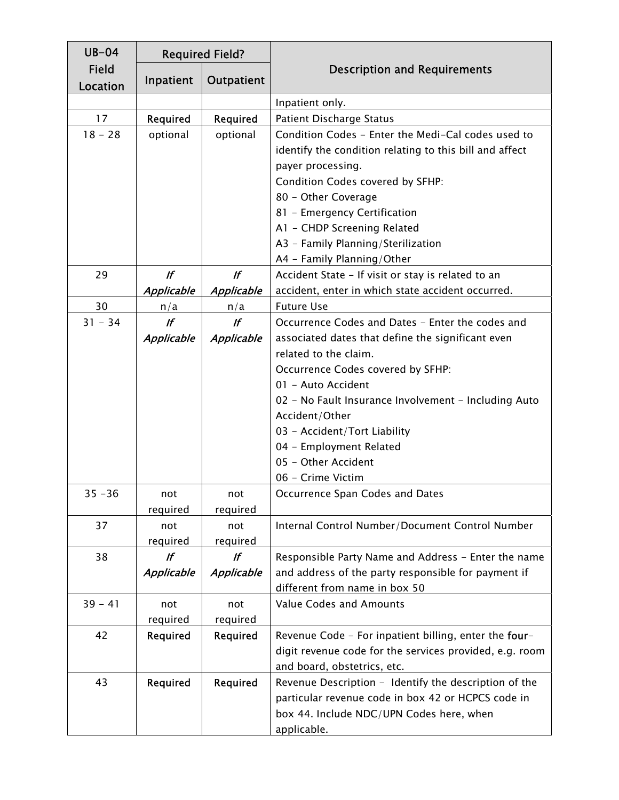| $UB-04$           |                   | <b>Required Field?</b> |                                                         |
|-------------------|-------------------|------------------------|---------------------------------------------------------|
| Field<br>Location | Inpatient         | Outpatient             | <b>Description and Requirements</b>                     |
|                   |                   |                        | Inpatient only.                                         |
| 17                | Required          | Required               | Patient Discharge Status                                |
| $18 - 28$         | optional          | optional               | Condition Codes - Enter the Medi-Cal codes used to      |
|                   |                   |                        | identify the condition relating to this bill and affect |
|                   |                   |                        | payer processing.                                       |
|                   |                   |                        | Condition Codes covered by SFHP:                        |
|                   |                   |                        | 80 - Other Coverage                                     |
|                   |                   |                        | 81 - Emergency Certification                            |
|                   |                   |                        | A1 - CHDP Screening Related                             |
|                   |                   |                        | A3 - Family Planning/Sterilization                      |
|                   |                   |                        | A4 - Family Planning/Other                              |
| 29                | $\mathcal{L}$     | $\mathbf{r}$           | Accident State - If visit or stay is related to an      |
|                   | <b>Applicable</b> | <b>Applicable</b>      | accident, enter in which state accident occurred.       |
| 30                | n/a               | n/a                    | <b>Future Use</b>                                       |
| $31 - 34$         | If                | If                     | Occurrence Codes and Dates - Enter the codes and        |
|                   | <b>Applicable</b> | Applicable             | associated dates that define the significant even       |
|                   |                   |                        | related to the claim.                                   |
|                   |                   |                        | Occurrence Codes covered by SFHP:                       |
|                   |                   |                        | 01 - Auto Accident                                      |
|                   |                   |                        | 02 - No Fault Insurance Involvement - Including Auto    |
|                   |                   |                        | Accident/Other                                          |
|                   |                   |                        | 03 - Accident/Tort Liability                            |
|                   |                   |                        | 04 - Employment Related                                 |
|                   |                   |                        | 05 - Other Accident                                     |
|                   |                   |                        | 06 - Crime Victim                                       |
| $35 - 36$         | not               | not                    | Occurrence Span Codes and Dates                         |
|                   | required          | required               |                                                         |
| 37                | not               | not                    | Internal Control Number/Document Control Number         |
|                   | required          | required               |                                                         |
| 38                | If                | $\sqrt{f}$             | Responsible Party Name and Address - Enter the name     |
|                   | <b>Applicable</b> | Applicable             | and address of the party responsible for payment if     |
|                   |                   |                        | different from name in box 50                           |
| $39 - 41$         | not               | not                    | <b>Value Codes and Amounts</b>                          |
|                   | required          | required               |                                                         |
| 42                | Required          | Required               | Revenue Code - For inpatient billing, enter the four-   |
|                   |                   |                        | digit revenue code for the services provided, e.g. room |
|                   |                   |                        | and board, obstetrics, etc.                             |
| 43                | Required          | Required               | Revenue Description - Identify the description of the   |
|                   |                   |                        | particular revenue code in box 42 or HCPCS code in      |
|                   |                   |                        | box 44. Include NDC/UPN Codes here, when                |
|                   |                   |                        | applicable.                                             |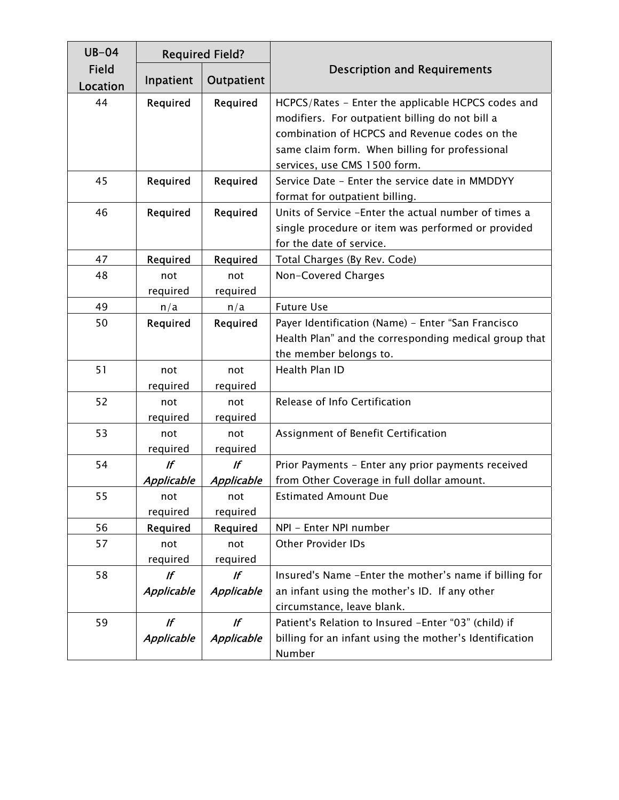| $UB-04$                  |                   | <b>Required Field?</b> |                                                                                 |
|--------------------------|-------------------|------------------------|---------------------------------------------------------------------------------|
| <b>Field</b><br>Location | Inpatient         | Outpatient             | <b>Description and Requirements</b>                                             |
| 44                       | Required          | Required               | HCPCS/Rates - Enter the applicable HCPCS codes and                              |
|                          |                   |                        | modifiers. For outpatient billing do not bill a                                 |
|                          |                   |                        | combination of HCPCS and Revenue codes on the                                   |
|                          |                   |                        | same claim form. When billing for professional                                  |
|                          |                   |                        | services, use CMS 1500 form.                                                    |
| 45                       | Required          | Required               | Service Date - Enter the service date in MMDDYY                                 |
|                          |                   |                        | format for outpatient billing.                                                  |
| 46                       | Required          | Required               | Units of Service - Enter the actual number of times a                           |
|                          |                   |                        | single procedure or item was performed or provided                              |
|                          |                   |                        | for the date of service.                                                        |
| 47                       | Required          | Required               | Total Charges (By Rev. Code)                                                    |
| 48                       | not               | not                    | Non-Covered Charges                                                             |
| 49                       | required          | required               | <b>Future Use</b>                                                               |
| 50                       | n/a               | n/a                    |                                                                                 |
|                          | Required          | Required               | Payer Identification (Name) - Enter "San Francisco                              |
|                          |                   |                        | Health Plan" and the corresponding medical group that<br>the member belongs to. |
| 51                       | not               | not                    | Health Plan ID                                                                  |
|                          | required          | required               |                                                                                 |
| 52                       | not               | not                    | Release of Info Certification                                                   |
|                          | required          | required               |                                                                                 |
| 53                       | not               | not                    | Assignment of Benefit Certification                                             |
|                          | required          | required               |                                                                                 |
| 54                       | If                | If                     | Prior Payments - Enter any prior payments received                              |
|                          | <b>Applicable</b> | <b>Applicable</b>      | from Other Coverage in full dollar amount.                                      |
| 55                       | not               | not                    | <b>Estimated Amount Due</b>                                                     |
|                          | required          | required               |                                                                                 |
| 56                       | Required          | Required               | NPI - Enter NPI number                                                          |
| 57                       | not               | not                    | <b>Other Provider IDs</b>                                                       |
|                          | required          | required               |                                                                                 |
| 58                       | lf                | lf                     | Insured's Name - Enter the mother's name if billing for                         |
|                          | <b>Applicable</b> | <b>Applicable</b>      | an infant using the mother's ID. If any other                                   |
|                          |                   |                        | circumstance, leave blank.                                                      |
| 59                       | If                | If                     | Patient's Relation to Insured -Enter "03" (child) if                            |
|                          | Applicable        | Applicable             | billing for an infant using the mother's Identification                         |
|                          |                   |                        | Number                                                                          |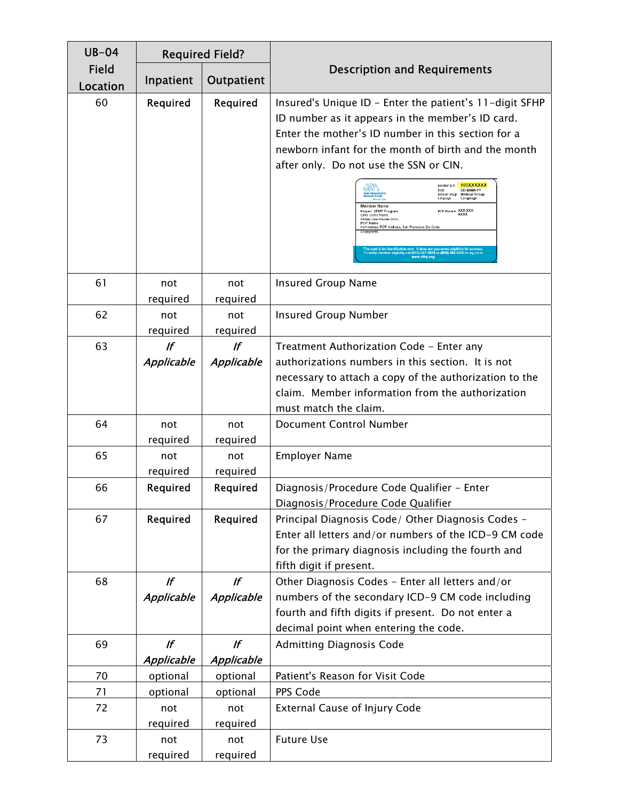| $UB-04$           |                            | <b>Required Field?</b>  |                                                                                                                                                                                                                                                                                                                                                                                                                                                                                                                                                                                                                                                                 |
|-------------------|----------------------------|-------------------------|-----------------------------------------------------------------------------------------------------------------------------------------------------------------------------------------------------------------------------------------------------------------------------------------------------------------------------------------------------------------------------------------------------------------------------------------------------------------------------------------------------------------------------------------------------------------------------------------------------------------------------------------------------------------|
| Field<br>Location | Inpatient                  | Outpatient              | <b>Description and Requirements</b>                                                                                                                                                                                                                                                                                                                                                                                                                                                                                                                                                                                                                             |
| 60                | Required                   | Required                | Insured's Unique ID - Enter the patient's 11-digit SFHP<br>ID number as it appears in the member's ID card.<br>Enter the mother's ID number in this section for a<br>newborn infant for the month of birth and the month<br>after only. Do not use the SSN or CIN.<br><b>100XXXXXI</b><br>Member ID #:<br>DD-MMM-YY<br>DOB:<br>Medical Group:<br><b>Medical Group</b><br>Language<br>Language:<br>Member Name<br>PCP Phone #: XXX-XXX-<br>Program: SFHP Program<br>Clinic: Clinic Name<br>Primary Care Provider (PCP)<br><b>PCP</b> Name<br>PCP Address: PCP Address, San Francisco Zip Code<br>l (415) 547-7810 or (800) 288-5555 or log on to<br>www.sfhp.org |
| 61                | not<br>required            | not<br>required         | <b>Insured Group Name</b>                                                                                                                                                                                                                                                                                                                                                                                                                                                                                                                                                                                                                                       |
| 62                | not<br>required            | not<br>required         | <b>Insured Group Number</b>                                                                                                                                                                                                                                                                                                                                                                                                                                                                                                                                                                                                                                     |
| 63                | If<br>Applicable           | If<br>Applicable        | Treatment Authorization Code - Enter any<br>authorizations numbers in this section. It is not<br>necessary to attach a copy of the authorization to the<br>claim. Member information from the authorization<br>must match the claim.                                                                                                                                                                                                                                                                                                                                                                                                                            |
| 64                | not<br>required            | not<br>required         | Document Control Number                                                                                                                                                                                                                                                                                                                                                                                                                                                                                                                                                                                                                                         |
| 65                | not<br>required            | not<br>required         | <b>Employer Name</b>                                                                                                                                                                                                                                                                                                                                                                                                                                                                                                                                                                                                                                            |
| 66                | Required                   | Required                | Diagnosis/Procedure Code Qualifier - Enter<br>Diagnosis/Procedure Code Qualifier                                                                                                                                                                                                                                                                                                                                                                                                                                                                                                                                                                                |
| 67                | Required                   | Required                | Principal Diagnosis Code/ Other Diagnosis Codes -<br>Enter all letters and/or numbers of the ICD-9 CM code<br>for the primary diagnosis including the fourth and<br>fifth digit if present.                                                                                                                                                                                                                                                                                                                                                                                                                                                                     |
| 68                | If<br>Applicable           | If<br>Applicable        | Other Diagnosis Codes - Enter all letters and/or<br>numbers of the secondary ICD-9 CM code including<br>fourth and fifth digits if present. Do not enter a<br>decimal point when entering the code.                                                                                                                                                                                                                                                                                                                                                                                                                                                             |
| 69                | $\mathbf{r}$<br>Applicable | If<br><b>Applicable</b> | <b>Admitting Diagnosis Code</b>                                                                                                                                                                                                                                                                                                                                                                                                                                                                                                                                                                                                                                 |
| 70                | optional                   | optional                | Patient's Reason for Visit Code                                                                                                                                                                                                                                                                                                                                                                                                                                                                                                                                                                                                                                 |
| 71                | optional                   | optional                | PPS Code                                                                                                                                                                                                                                                                                                                                                                                                                                                                                                                                                                                                                                                        |
| 72                | not<br>required            | not<br>required         | <b>External Cause of Injury Code</b>                                                                                                                                                                                                                                                                                                                                                                                                                                                                                                                                                                                                                            |
| 73                | not<br>required            | not<br>required         | <b>Future Use</b>                                                                                                                                                                                                                                                                                                                                                                                                                                                                                                                                                                                                                                               |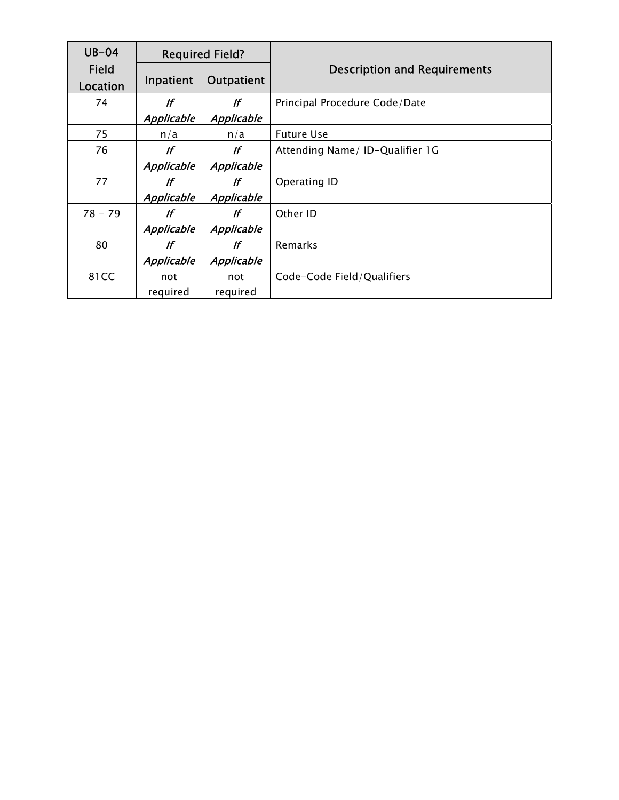| $UB-04$           | <b>Required Field?</b> |                   |                                     |
|-------------------|------------------------|-------------------|-------------------------------------|
| Field<br>Location | Inpatient              | Outpatient        | <b>Description and Requirements</b> |
| 74                | lf                     | lf                | Principal Procedure Code/Date       |
|                   | <b>Applicable</b>      | <b>Applicable</b> |                                     |
| 75                | n/a                    | n/a               | <b>Future Use</b>                   |
| 76                | lf                     | lf                | Attending Name/ ID-Qualifier 1G     |
|                   | <b>Applicable</b>      | <b>Applicable</b> |                                     |
| 77                | lf                     | lf                | Operating ID                        |
|                   | <b>Applicable</b>      | <b>Applicable</b> |                                     |
| $78 - 79$         | lf                     | lf                | Other ID                            |
|                   | Applicable             | <b>Applicable</b> |                                     |
| 80                | If                     | lf                | <b>Remarks</b>                      |
|                   | <b>Applicable</b>      | <b>Applicable</b> |                                     |
| 81CC              | not                    | not               | Code-Code Field/Qualifiers          |
|                   | required               | required          |                                     |